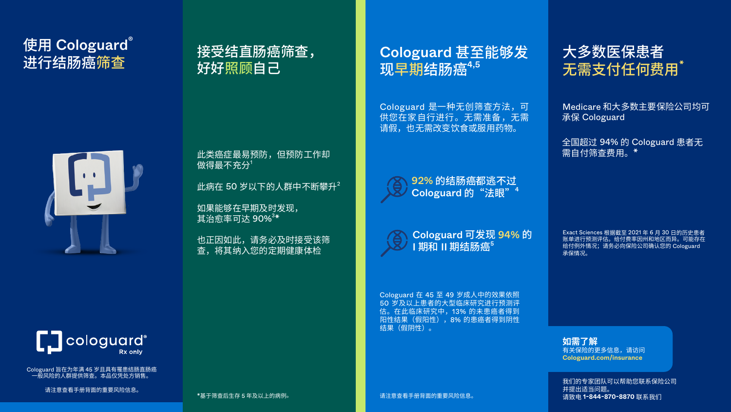# 使用 Cologuard<sup>®</sup>





Cologuard 旨在为年满 45 岁且具有罹患结肠直肠癌 一般风险的人群提供筛查。本品仅凭处方销售。

请注意查看手册背面的重要风险信息。

如果能够在早期及时发现, 其治愈率可达 <mark>90</mark>% $^3\text{*}$ 

## 进行结肠癌筛查 接受结直肠癌筛查, 好好照顾自己

此类癌症最易预防,但预防工作却 做得最不充分<sup>1</sup>

此病在 50 岁以下的人群中不断攀升 $2$ 

也正因如此,请务必及时接受该筛 查,将其纳入您的定期健康体检

92% 的结肠癌都逃不过 Cologuard 的"法眼"<sup>4</sup>

 $\,$  II 期结肠癌 $^5$ 

## Cologuard 甚至能够发 现早期结肠癌4,5

## 大多数医保患者 无需支付任何费用"

Cologuard 在 45 至 49 岁成人中的效果依照 50 岁及以上患者的大型临床研究进行预测评 估。在此临床研究中,13% 的未患癌者得到 阳性结果(假阳性),8% 的患癌者得到阴性 结果(假阴性)。

Cologuard 是一种无创筛查方法,可 供您在家自行进行。无需准备,无需 请假,也无需改变饮食或服用药物。



Cologuard 可发现 94% 的

请注意查看手册背面的重要风险信息。

Medicare 和大多数主要保险公司均可 承保 Cologuard

全国超过 94% 的 Cologuard 患者无 需自付筛查费用。\*

Exact Sciences 根据截至 2021 年 6 月 30 日的历史患者 账单进行预测评估。给付费率因州和地区而异。可能存在 给付例外情况;请务必向保险公司确认您的 Cologuard 承保情况。

**如需了解** [有关保险的更多信息,请访问](http://cologuard.com/insurance) **Cologuard.com/insurance**

我们的专家团队可以帮助您联系保险公司 并提出适当问题。 请致电 **1-844-870-8870** 联系我们